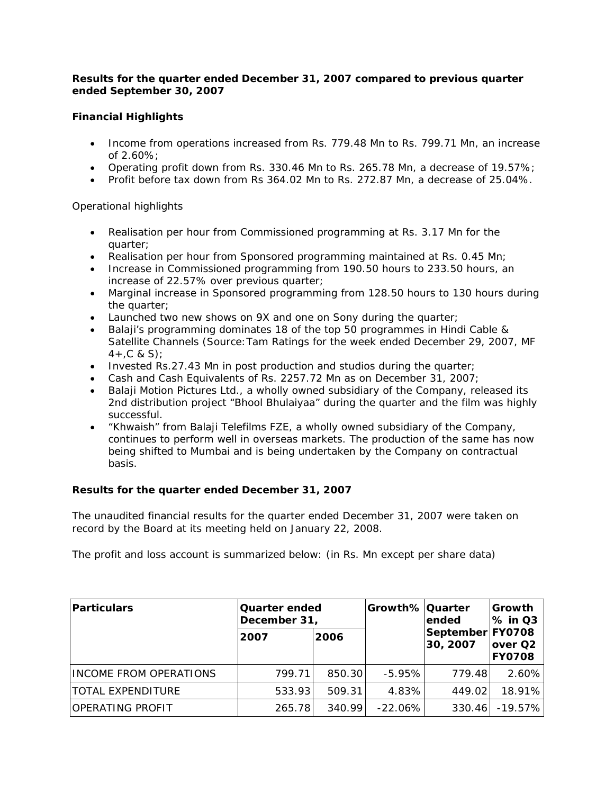# *Results for the quarter ended December 31, 2007 compared to previous quarter ended September 30, 2007*

# **Financial Highlights**

- Income from operations increased from Rs. 779.48 Mn to Rs. 799.71 Mn, an increase of 2.60%;
- Operating profit down from Rs. 330.46 Mn to Rs. 265.78 Mn, a decrease of 19.57%;
- Profit before tax down from Rs 364.02 Mn to Rs. 272.87 Mn, a decrease of 25.04%.

# Operational highlights

- Realisation per hour from Commissioned programming at Rs. 3.17 Mn for the quarter;
- Realisation per hour from Sponsored programming maintained at Rs. 0.45 Mn;
- Increase in Commissioned programming from 190.50 hours to 233.50 hours, an increase of 22.57% over previous quarter;
- Marginal increase in Sponsored programming from 128.50 hours to 130 hours during the quarter;
- Launched two new shows on 9X and one on Sony during the quarter;
- Balaji's programming dominates 18 of the top 50 programmes in Hindi Cable & Satellite Channels (Source: Tam Ratings for the week ended December 29, 2007, MF  $4 + C$  & S);
- Invested Rs.27.43 Mn in post production and studios during the quarter;
- Cash and Cash Equivalents of Rs. 2257.72 Mn as on December 31, 2007;
- Balaji Motion Pictures Ltd., a wholly owned subsidiary of the Company, released its 2nd distribution project "Bhool Bhulaiyaa" during the quarter and the film was highly successful.
- "Khwaish" from Balaji Telefilms FZE, a wholly owned subsidiary of the Company, continues to perform well in overseas markets. The production of the same has now being shifted to Mumbai and is being undertaken by the Company on contractual basis.

# **Results for the quarter ended December 31, 2007**

The unaudited financial results for the quarter ended December 31, 2007 were taken on record by the Board at its meeting held on January 22, 2008.

The profit and loss account is summarized below: (in Rs. Mn except per share data)

| Particulars            | <b>Quarter ended</b><br>December 31, |        | Growth% Quarter | lended                       | Growth<br><b>% in Q3</b>  |  |
|------------------------|--------------------------------------|--------|-----------------|------------------------------|---------------------------|--|
|                        | 2007                                 | 2006   |                 | September FY0708<br>30, 2007 | lover Q2<br><b>FY0708</b> |  |
| INCOME FROM OPERATIONS | 799.71                               | 850.30 | $-5.95%$        | 779.48                       | 2.60%                     |  |
| ITOTAL EXPENDITURE     | 533.93                               | 509.31 | 4.83%           | 449.02                       | 18.91%                    |  |
| IOPERATING PROFIT      | 265.78                               | 340.99 | $-22.06\%$      | 330.46                       | $-19.57%$                 |  |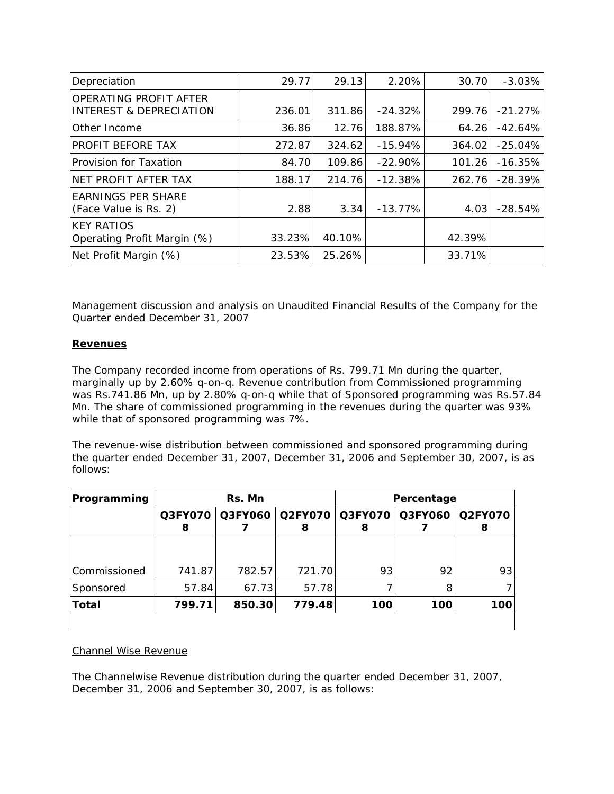| Depreciation                                                 | 29.77  | 29.13  | 2.20%     | 30.70  | $-3.03%$  |
|--------------------------------------------------------------|--------|--------|-----------|--------|-----------|
| OPERATING PROFIT AFTER<br><b>INTEREST &amp; DEPRECIATION</b> | 236.01 | 311.86 | $-24.32%$ | 299.76 | $-21.27%$ |
| Other Income                                                 | 36.86  | 12.76  | 188.87%   | 64.26  | $-42.64%$ |
| PROFIT BEFORE TAX                                            | 272.87 | 324.62 | $-15.94%$ | 364.02 | $-25.04%$ |
| Provision for Taxation                                       | 84.70  | 109.86 | $-22.90%$ | 101.26 | $-16.35%$ |
| NET PROFIT AFTER TAX                                         | 188.17 | 214.76 | $-12.38%$ | 262.76 | $-28.39%$ |
| <b>EARNINGS PER SHARE</b><br>(Face Value is Rs. 2)           | 2.88   | 3.34   | $-13.77%$ | 4.03   | $-28.54%$ |
| <b>KEY RATIOS</b><br>Operating Profit Margin (%)             | 33.23% | 40.10% |           | 42.39% |           |
| Net Profit Margin (%)                                        | 23.53% | 25.26% |           | 33.71% |           |

*Management discussion and analysis on Unaudited Financial Results of the Company for the Quarter ended December 31, 2007*

## **Revenues**

The Company recorded income from operations of Rs. 799.71 Mn during the quarter, marginally up by 2.60% q-on-q. Revenue contribution from Commissioned programming was Rs.741.86 Mn, up by 2.80% q-on-q while that of Sponsored programming was Rs.57.84 Mn. The share of commissioned programming in the revenues during the quarter was 93% while that of sponsored programming was 7%.

The revenue-wise distribution between commissioned and sponsored programming during the quarter ended December 31, 2007, December 31, 2006 and September 30, 2007, is as follows:

| Programming  | Rs. Mn       |        |                              | Percentage |                   |     |
|--------------|--------------|--------|------------------------------|------------|-------------------|-----|
|              | Q3FY070<br>8 |        | Q3FY060 Q2FY070 Q3FY070<br>8 | 8          | Q3FY060   Q2FY070 |     |
|              |              |        |                              |            |                   |     |
| Commissioned | 741.87       | 782.57 | 721.70                       | 93         | 92                | 93  |
| Sponsored    | 57.84        | 67.73  | 57.78                        |            | 8                 |     |
| Total        | 799.71       | 850.30 | 779.48                       | 100        | 100               | 100 |
|              |              |        |                              |            |                   |     |

## Channel Wise Revenue

The Channelwise Revenue distribution during the quarter ended December 31, 2007, December 31, 2006 and September 30, 2007, is as follows: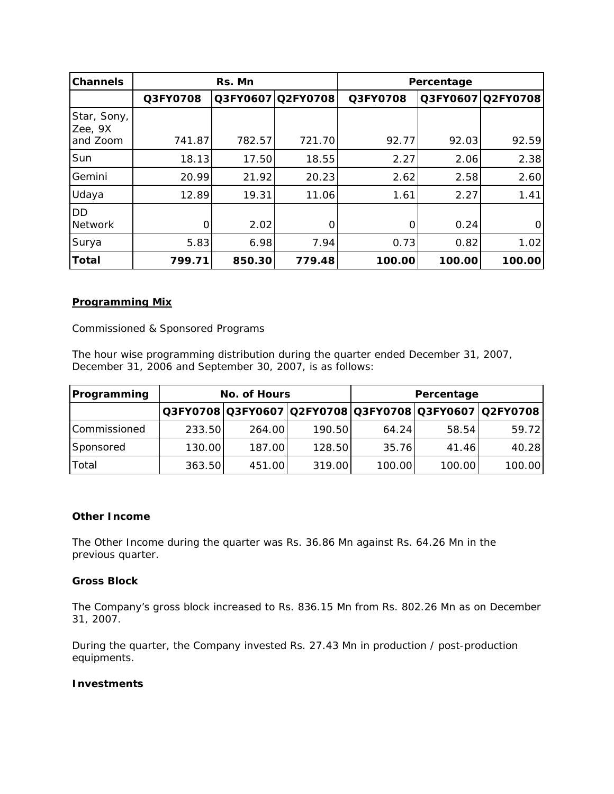| Channels               | Rs. Mn   |        |                   | Percentage |        |                   |
|------------------------|----------|--------|-------------------|------------|--------|-------------------|
|                        | Q3FY0708 |        | Q3FY0607 Q2FY0708 | Q3FY0708   |        | Q3FY0607 Q2FY0708 |
| Star, Sony,<br>Zee, 9X |          |        |                   |            |        |                   |
| and Zoom               | 741.87   | 782.57 | 721.70            | 92.77      | 92.03  | 92.59             |
| Sun                    | 18.13    | 17.50  | 18.55             | 2.27       | 2.06   | 2.38              |
| Gemini                 | 20.99    | 21.92  | 20.23             | 2.62       | 2.58   | 2.60              |
| Udaya                  | 12.89    | 19.31  | 11.06             | 1.61       | 2.27   | 1.41              |
| DD<br><b>Network</b>   | $\Omega$ | 2.02   | $\Omega$          | 0          | 0.24   | 0                 |
| Surya                  | 5.83     | 6.98   | 7.94              | 0.73       | 0.82   | 1.02              |
| Total                  | 799.71   | 850.30 | 779.48            | 100.00     | 100.00 | 100.00            |

## *Programming Mix*

Commissioned & Sponsored Programs

The hour wise programming distribution during the quarter ended December 31, 2007, December 31, 2006 and September 30, 2007, is as follows:

| Programming  | No. of Hours |        |        | Percentage |        |                                                       |
|--------------|--------------|--------|--------|------------|--------|-------------------------------------------------------|
|              |              |        |        |            |        | Q3FY0708 Q3FY0607 Q2FY0708 Q3FY0708 Q3FY0607 Q2FY0708 |
| Commissioned | 233.50       | 264.00 | 190.50 | 64.24      | 58.54  | 59.72                                                 |
| Sponsored    | 130.00       | 187.00 | 128.50 | 35.76      | 41.46  | 40.28                                                 |
| Total        | 363.50       | 451.00 | 319.00 | 100.00     | 100.00 | 100.00                                                |

## **Other Income**

The Other Income during the quarter was Rs. 36.86 Mn against Rs. 64.26 Mn in the previous quarter.

#### **Gross Block**

The Company's gross block increased to Rs. 836.15 Mn from Rs. 802.26 Mn as on December 31, 2007.

During the quarter, the Company invested Rs. 27.43 Mn in production / post-production equipments.

## **Investments**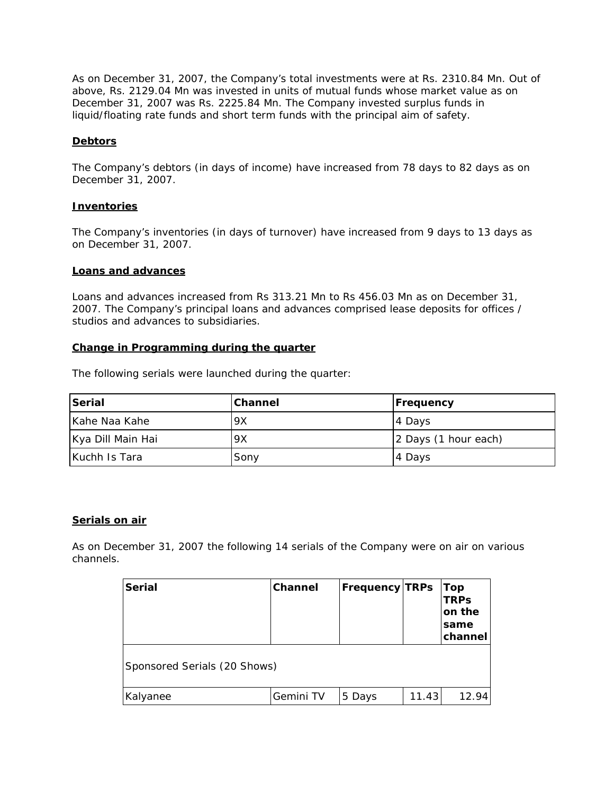As on December 31, 2007, the Company's total investments were at Rs. 2310.84 Mn. Out of above, Rs. 2129.04 Mn was invested in units of mutual funds whose market value as on December 31, 2007 was Rs. 2225.84 Mn. The Company invested surplus funds in liquid/floating rate funds and short term funds with the principal aim of safety.

## **Debtors**

The Company's debtors (in days of income) have increased from 78 days to 82 days as on December 31, 2007.

#### **Inventories**

The Company's inventories (in days of turnover) have increased from 9 days to 13 days as on December 31, 2007.

## **Loans and advances**

Loans and advances increased from Rs 313.21 Mn to Rs 456.03 Mn as on December 31, 2007. The Company's principal loans and advances comprised lease deposits for offices / studios and advances to subsidiaries.

#### **Change in Programming during the quarter**

The following serials were launched during the quarter:

| Serial            | <b>Channel</b> | <b>Frequency</b>     |
|-------------------|----------------|----------------------|
| Kahe Naa Kahe     | 9X             | 4 Days               |
| Kya Dill Main Hai | 9X             | 2 Days (1 hour each) |
| Kuchh Is Tara     | Sony           | 14 Days              |

#### **Serials on air**

*As on December 31, 2007 the following 14 serials of the Company were on air on various channels.* 

| <b>Serial</b>                | <b>Channel</b> | <b>Frequency TRPs</b> |       | <b>Top</b><br><b>TRPs</b><br>on the<br>same<br>channel |
|------------------------------|----------------|-----------------------|-------|--------------------------------------------------------|
| Sponsored Serials (20 Shows) |                |                       |       |                                                        |
| Kalyanee                     | Gemini TV      | 5 Days                | 11.43 | 12.94                                                  |